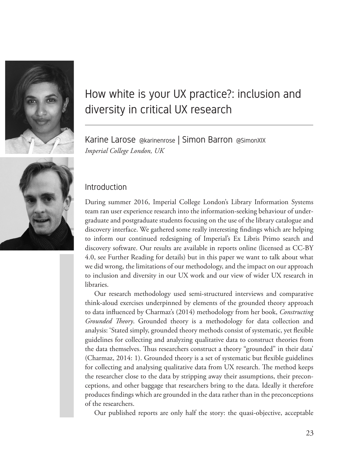



# How white is your UX practice?: inclusion and diversity in critical UX research

Karine Larose @karinenrose | Simon Barron @SimonXIX *Imperial College London, UK*

## Introduction

During summer 2016, Imperial College London's Library Information Systems team ran user experience research into the information-seeking behaviour of undergraduate and postgraduate students focusing on the use of the library catalogue and discovery interface. We gathered some really interesting findings which are helping to inform our continued redesigning of Imperial's Ex Libris Primo search and discovery software. Our results are available in reports online (licensed as CC-BY 4.0, see Further Reading for details) but in this paper we want to talk about what we did wrong, the limitations of our methodology, and the impact on our approach to inclusion and diversity in our UX work and our view of wider UX research in libraries.

Our research methodology used semi-structured interviews and comparative think-aloud exercises underpinned by elements of the grounded theory approach to data influenced by Charmaz's (2014) methodology from her book, *Constructing Grounded Theory*. Grounded theory is a methodology for data collection and analysis: 'Stated simply, grounded theory methods consist of systematic, yet flexible guidelines for collecting and analyzing qualitative data to construct theories from the data themselves. Thus researchers construct a theory "grounded" in their data' (Charmaz, 2014: 1). Grounded theory is a set of systematic but flexible guidelines for collecting and analysing qualitative data from UX research. The method keeps the researcher close to the data by stripping away their assumptions, their preconceptions, and other baggage that researchers bring to the data. Ideally it therefore produces findings which are grounded in the data rather than in the preconceptions of the researchers.

Our published reports are only half the story: the quasi-objective, acceptable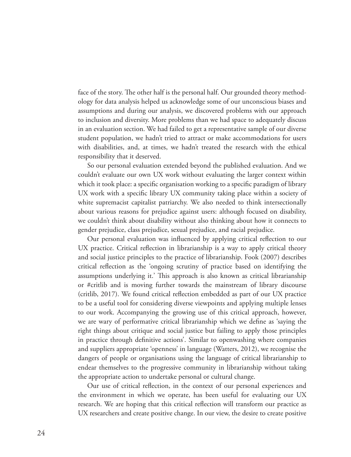face of the story. The other half is the personal half. Our grounded theory methodology for data analysis helped us acknowledge some of our unconscious biases and assumptions and during our analysis, we discovered problems with our approach to inclusion and diversity. More problems than we had space to adequately discuss in an evaluation section. We had failed to get a representative sample of our diverse student population, we hadn't tried to attract or make accommodations for users with disabilities, and, at times, we hadn't treated the research with the ethical responsibility that it deserved.

So our personal evaluation extended beyond the published evaluation. And we couldn't evaluate our own UX work without evaluating the larger context within which it took place: a specific organisation working to a specific paradigm of library UX work with a specific library UX community taking place within a society of white supremacist capitalist patriarchy. We also needed to think intersectionally about various reasons for prejudice against users: although focused on disability, we couldn't think about disability without also thinking about how it connects to gender prejudice, class prejudice, sexual prejudice, and racial prejudice.

Our personal evaluation was influenced by applying critical reflection to our UX practice. Critical reflection in librarianship is a way to apply critical theory and social justice principles to the practice of librarianship. Fook (2007) describes critical reflection as the 'ongoing scrutiny of practice based on identifying the assumptions underlying it.' This approach is also known as critical librarianship or #critlib and is moving further towards the mainstream of library discourse (critlib, 2017). We found critical reflection embedded as part of our UX practice to be a useful tool for considering diverse viewpoints and applying multiple lenses to our work. Accompanying the growing use of this critical approach, however, we are wary of performative critical librarianship which we define as 'saying the right things about critique and social justice but failing to apply those principles in practice through definitive actions'. Similar to openwashing where companies and suppliers appropriate 'openness' in language (Watters, 2012), we recognise the dangers of people or organisations using the language of critical librarianship to endear themselves to the progressive community in librarianship without taking the appropriate action to undertake personal or cultural change.

Our use of critical reflection, in the context of our personal experiences and the environment in which we operate, has been useful for evaluating our UX research. We are hoping that this critical reflection will transform our practice as UX researchers and create positive change. In our view, the desire to create positive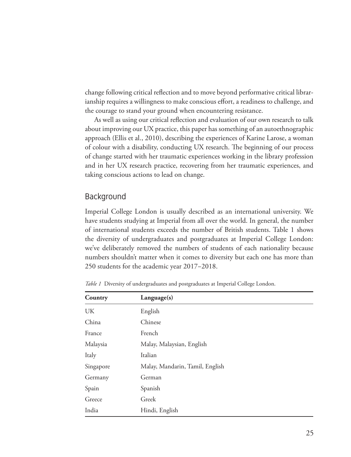change following critical reflection and to move beyond performative critical librarianship requires a willingness to make conscious effort, a readiness to challenge, and the courage to stand your ground when encountering resistance.

As well as using our critical reflection and evaluation of our own research to talk about improving our UX practice, this paper has something of an autoethnographic approach (Ellis et al., 2010), describing the experiences of Karine Larose, a woman of colour with a disability, conducting UX research. The beginning of our process of change started with her traumatic experiences working in the library profession and in her UX research practice, recovering from her traumatic experiences, and taking conscious actions to lead on change.

# Background

Imperial College London is usually described as an international university. We have students studying at Imperial from all over the world. In general, the number of international students exceeds the number of British students. Table 1 shows the diversity of undergraduates and postgraduates at Imperial College London: we've deliberately removed the numbers of students of each nationality because numbers shouldn't matter when it comes to diversity but each one has more than 250 students for the academic year 2017–2018.

| Country   | Language(s)                     |
|-----------|---------------------------------|
| UK        | English                         |
| China     | Chinese                         |
| France    | French                          |
| Malaysia  | Malay, Malaysian, English       |
| Italy     | Italian                         |
| Singapore | Malay, Mandarin, Tamil, English |
| Germany   | German                          |
| Spain     | Spanish                         |
| Greece    | Greek                           |
| India     | Hindi, English                  |

*Table 1* Diversity of undergraduates and postgraduates at Imperial College London.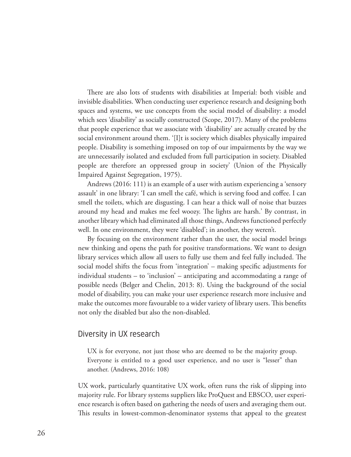There are also lots of students with disabilities at Imperial: both visible and invisible disabilities. When conducting user experience research and designing both spaces and systems, we use concepts from the social model of disability: a model which sees 'disability' as socially constructed (Scope, 2017). Many of the problems that people experience that we associate with 'disability' are actually created by the social environment around them. '[I]t is society which disables physically impaired people. Disability is something imposed on top of our impairments by the way we are unnecessarily isolated and excluded from full participation in society. Disabled people are therefore an oppressed group in society' (Union of the Physically Impaired Against Segregation, 1975).

Andrews (2016: 111) is an example of a user with autism experiencing a 'sensory assault' in one library: 'I can smell the café, which is serving food and coffee. I can smell the toilets, which are disgusting. I can hear a thick wall of noise that buzzes around my head and makes me feel woozy. The lights are harsh.' By contrast, in another library which had eliminated all those things, Andrews functioned perfectly well. In one environment, they were 'disabled'; in another, they weren't.

By focusing on the environment rather than the user, the social model brings new thinking and opens the path for positive transformations. We want to design library services which allow all users to fully use them and feel fully included. The social model shifts the focus from 'integration' – making specific adjustments for individual students – to 'inclusion' – anticipating and accommodating a range of possible needs (Belger and Chelin, 2013: 8). Using the background of the social model of disability, you can make your user experience research more inclusive and make the outcomes more favourable to a wider variety of library users. This benefits not only the disabled but also the non-disabled.

## Diversity in UX research

UX is for everyone, not just those who are deemed to be the majority group. Everyone is entitled to a good user experience, and no user is "lesser" than another. (Andrews, 2016: 108)

UX work, particularly quantitative UX work, often runs the risk of slipping into majority rule. For library systems suppliers like ProQuest and EBSCO, user experience research is often based on gathering the needs of users and averaging them out. This results in lowest-common-denominator systems that appeal to the greatest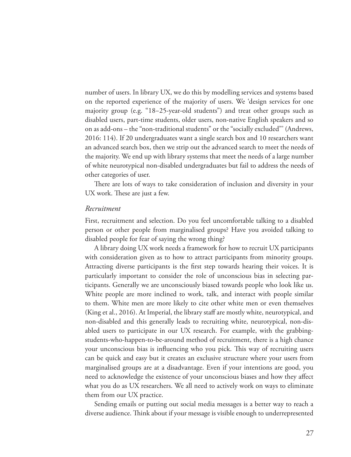number of users. In library UX, we do this by modelling services and systems based on the reported experience of the majority of users. We 'design services for one majority group (e.g. "18–25-year-old students") and treat other groups such as disabled users, part-time students, older users, non-native English speakers and so on as add-ons – the "non-traditional students" or the "socially excluded"' (Andrews, 2016: 114). If 20 undergraduates want a single search box and 10 researchers want an advanced search box, then we strip out the advanced search to meet the needs of the majority. We end up with library systems that meet the needs of a large number of white neurotypical non-disabled undergraduates but fail to address the needs of other categories of user.

There are lots of ways to take consideration of inclusion and diversity in your UX work. These are just a few.

#### *Recruitment*

First, recruitment and selection. Do you feel uncomfortable talking to a disabled person or other people from marginalised groups? Have you avoided talking to disabled people for fear of saying the wrong thing?

A library doing UX work needs a framework for how to recruit UX participants with consideration given as to how to attract participants from minority groups. Attracting diverse participants is the first step towards hearing their voices. It is particularly important to consider the role of unconscious bias in selecting participants. Generally we are unconsciously biased towards people who look like us. White people are more inclined to work, talk, and interact with people similar to them. White men are more likely to cite other white men or even themselves (King et al., 2016). At Imperial, the library staff are mostly white, neurotypical, and non-disabled and this generally leads to recruiting white, neurotypical, non-disabled users to participate in our UX research. For example, with the grabbingstudents-who-happen-to-be-around method of recruitment, there is a high chance your unconscious bias is influencing who you pick. This way of recruiting users can be quick and easy but it creates an exclusive structure where your users from marginalised groups are at a disadvantage. Even if your intentions are good, you need to acknowledge the existence of your unconscious biases and how they affect what you do as UX researchers. We all need to actively work on ways to eliminate them from our UX practice.

Sending emails or putting out social media messages is a better way to reach a diverse audience. Think about if your message is visible enough to underrepresented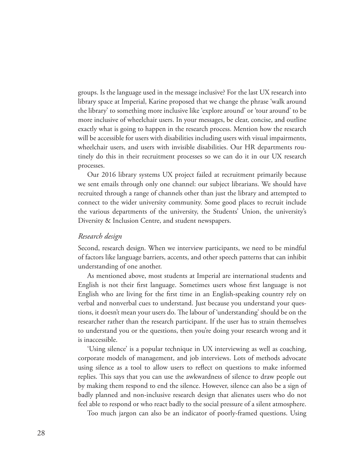groups. Is the language used in the message inclusive? For the last UX research into library space at Imperial, Karine proposed that we change the phrase 'walk around the library' to something more inclusive like 'explore around' or 'tour around' to be more inclusive of wheelchair users. In your messages, be clear, concise, and outline exactly what is going to happen in the research process. Mention how the research will be accessible for users with disabilities including users with visual impairments, wheelchair users, and users with invisible disabilities. Our HR departments routinely do this in their recruitment processes so we can do it in our UX research processes.

Our 2016 library systems UX project failed at recruitment primarily because we sent emails through only one channel: our subject librarians. We should have recruited through a range of channels other than just the library and attempted to connect to the wider university community. Some good places to recruit include the various departments of the university, the Students' Union, the university's Diversity & Inclusion Centre, and student newspapers.

#### *Research design*

Second, research design. When we interview participants, we need to be mindful of factors like language barriers, accents, and other speech patterns that can inhibit understanding of one another.

As mentioned above, most students at Imperial are international students and English is not their first language. Sometimes users whose first language is not English who are living for the first time in an English-speaking country rely on verbal and nonverbal cues to understand. Just because you understand your questions, it doesn't mean your users do. The labour of 'understanding' should be on the researcher rather than the research participant. If the user has to strain themselves to understand you or the questions, then you're doing your research wrong and it is inaccessible.

'Using silence' is a popular technique in UX interviewing as well as coaching, corporate models of management, and job interviews. Lots of methods advocate using silence as a tool to allow users to reflect on questions to make informed replies. This says that you can use the awkwardness of silence to draw people out by making them respond to end the silence. However, silence can also be a sign of badly planned and non-inclusive research design that alienates users who do not feel able to respond or who react badly to the social pressure of a silent atmosphere.

Too much jargon can also be an indicator of poorly-framed questions. Using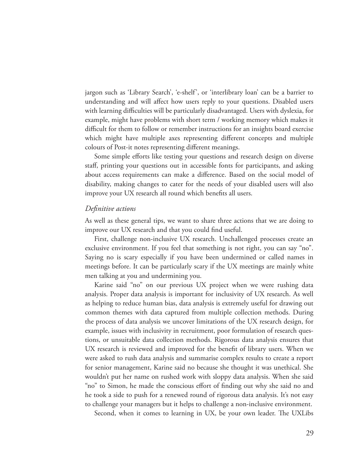jargon such as 'Library Search', 'e-shelf', or 'interlibrary loan' can be a barrier to understanding and will affect how users reply to your questions. Disabled users with learning difficulties will be particularly disadvantaged. Users with dyslexia, for example, might have problems with short term / working memory which makes it difficult for them to follow or remember instructions for an insights board exercise which might have multiple axes representing different concepts and multiple colours of Post-it notes representing different meanings.

Some simple efforts like testing your questions and research design on diverse staff, printing your questions out in accessible fonts for participants, and asking about access requirements can make a difference. Based on the social model of disability, making changes to cater for the needs of your disabled users will also improve your UX research all round which benefits all users.

#### *Definitive actions*

As well as these general tips, we want to share three actions that we are doing to improve our UX research and that you could find useful.

First, challenge non-inclusive UX research. Unchallenged processes create an exclusive environment. If you feel that something is not right, you can say "no". Saying no is scary especially if you have been undermined or called names in meetings before. It can be particularly scary if the UX meetings are mainly white men talking at you and undermining you.

Karine said "no" on our previous UX project when we were rushing data analysis. Proper data analysis is important for inclusivity of UX research. As well as helping to reduce human bias, data analysis is extremely useful for drawing out common themes with data captured from multiple collection methods. During the process of data analysis we uncover limitations of the UX research design, for example, issues with inclusivity in recruitment, poor formulation of research questions, or unsuitable data collection methods. Rigorous data analysis ensures that UX research is reviewed and improved for the benefit of library users. When we were asked to rush data analysis and summarise complex results to create a report for senior management, Karine said no because she thought it was unethical. She wouldn't put her name on rushed work with sloppy data analysis. When she said "no" to Simon, he made the conscious effort of finding out why she said no and he took a side to push for a renewed round of rigorous data analysis. It's not easy to challenge your managers but it helps to challenge a non-inclusive environment.

Second, when it comes to learning in UX, be your own leader. The UXLibs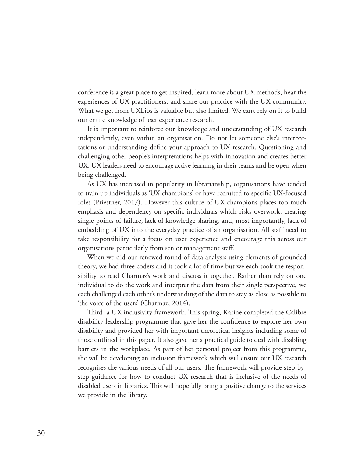conference is a great place to get inspired, learn more about UX methods, hear the experiences of UX practitioners, and share our practice with the UX community. What we get from UXLibs is valuable but also limited. We can't rely on it to build our entire knowledge of user experience research.

It is important to reinforce our knowledge and understanding of UX research independently, even within an organisation. Do not let someone else's interpretations or understanding define your approach to UX research. Questioning and challenging other people's interpretations helps with innovation and creates better UX. UX leaders need to encourage active learning in their teams and be open when being challenged.

As UX has increased in popularity in librarianship, organisations have tended to train up individuals as 'UX champions' or have recruited to specific UX-focused roles (Priestner, 2017). However this culture of UX champions places too much emphasis and dependency on specific individuals which risks overwork, creating single-points-of-failure, lack of knowledge-sharing, and, most importantly, lack of embedding of UX into the everyday practice of an organisation. All staff need to take responsibility for a focus on user experience and encourage this across our organisations particularly from senior management staff.

When we did our renewed round of data analysis using elements of grounded theory, we had three coders and it took a lot of time but we each took the responsibility to read Charmaz's work and discuss it together. Rather than rely on one individual to do the work and interpret the data from their single perspective, we each challenged each other's understanding of the data to stay as close as possible to 'the voice of the users' (Charmaz, 2014).

Third, a UX inclusivity framework. This spring, Karine completed the Calibre disability leadership programme that gave her the confidence to explore her own disability and provided her with important theoretical insights including some of those outlined in this paper. It also gave her a practical guide to deal with disabling barriers in the workplace. As part of her personal project from this programme, she will be developing an inclusion framework which will ensure our UX research recognises the various needs of all our users. The framework will provide step-bystep guidance for how to conduct UX research that is inclusive of the needs of disabled users in libraries. This will hopefully bring a positive change to the services we provide in the library.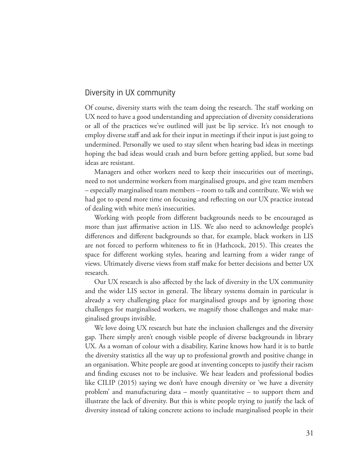## Diversity in UX community

Of course, diversity starts with the team doing the research. The staff working on UX need to have a good understanding and appreciation of diversity considerations or all of the practices we've outlined will just be lip service. It's not enough to employ diverse staff and ask for their input in meetings if their input is just going to undermined. Personally we used to stay silent when hearing bad ideas in meetings hoping the bad ideas would crash and burn before getting applied, but some bad ideas are resistant.

Managers and other workers need to keep their insecurities out of meetings, need to not undermine workers from marginalised groups, and give team members – especially marginalised team members – room to talk and contribute. We wish we had got to spend more time on focusing and reflecting on our UX practice instead of dealing with white men's insecurities.

Working with people from different backgrounds needs to be encouraged as more than just affirmative action in LIS. We also need to acknowledge people's differences and different backgrounds so that, for example, black workers in LIS are not forced to perform whiteness to fit in (Hathcock, 2015). This creates the space for different working styles, hearing and learning from a wider range of views. Ultimately diverse views from staff make for better decisions and better UX research.

Our UX research is also affected by the lack of diversity in the UX community and the wider LIS sector in general. The library systems domain in particular is already a very challenging place for marginalised groups and by ignoring those challenges for marginalised workers, we magnify those challenges and make marginalised groups invisible.

We love doing UX research but hate the inclusion challenges and the diversity gap. There simply aren't enough visible people of diverse backgrounds in library UX. As a woman of colour with a disability, Karine knows how hard it is to battle the diversity statistics all the way up to professional growth and positive change in an organisation. White people are good at inventing concepts to justify their racism and finding excuses not to be inclusive. We hear leaders and professional bodies like CILIP (2015) saying we don't have enough diversity or 'we have a diversity problem' and manufacturing data – mostly quantitative – to support them and illustrate the lack of diversity. But this is white people trying to justify the lack of diversity instead of taking concrete actions to include marginalised people in their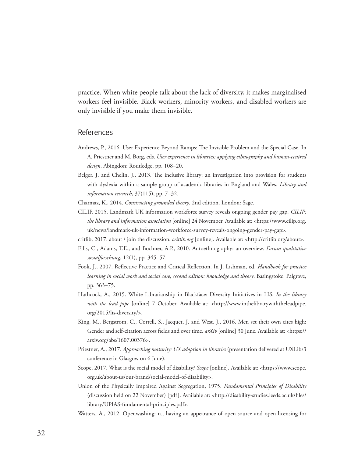practice. When white people talk about the lack of diversity, it makes marginalised workers feel invisible. Black workers, minority workers, and disabled workers are only invisible if you make them invisible.

### References

- Andrews, P., 2016. User Experience Beyond Ramps: The Invisible Problem and the Special Case. In A. Priestner and M. Borg, eds. *User experience in libraries: applying ethnography and human-centred design*. Abingdon: Routledge, pp. 108–20.
- Belger, J. and Chelin, J., 2013. The inclusive library: an investigation into provision for students with dyslexia within a sample group of academic libraries in England and Wales. *Library and information research*, 37(115), pp. 7–32.
- Charmaz, K., 2014. *Constructing grounded theory*. 2nd edition. London: Sage.
- CILIP, 2015. Landmark UK information workforce survey reveals ongoing gender pay gap. *CILIP: the library and information association* [online] 24 November. Available at: <https://www.cilip.org. uk/news/landmark-uk-information-workforce-survey-reveals-ongoing-gender-pay-gap>.
- critlib, 2017. about / join the discussion. *critlib.org* [online]. Available at: <http://critlib.org/about>.
- Ellis, C., Adams, T.E., and Bochner, A.P., 2010. Autoethnography: an overview. *Forum qualitative sozialforschun*g, 12(1), pp. 345–57.
- Fook, J., 2007. Reflective Practice and Critical Reflection. In J. Lishman, ed. *Handbook for practice learning in social work and social care, second edition: knowledge and theory*. Basingstoke: Palgrave, pp. 363–75.
- Hathcock, A., 2015. White Librarianship in Blackface: Diversity Initiatives in LIS. *In the library with the lead pipe* [online] 7 October. Available at: <http://www.inthelibrarywiththeleadpipe. org/2015/lis-diversity/>.
- King, M., Bergstrom, C., Correll, S., Jacquet, J. and West, J., 2016. Men set their own cites high: Gender and self-citation across fields and over time. *arXiv* [online] 30 June. Available at: <https:// arxiv.org/abs/1607.00376>.
- Priestner, A., 2017. *Approaching maturity: UX adoption in libraries* (presentation delivered at UXLibs3 conference in Glasgow on 6 June).
- Scope, 2017. What is the social model of disability? *Scope* [online]. Available at: <https://www.scope. org.uk/about-us/our-brand/social-model-of-disability>.
- Union of the Physically Impaired Against Segregation, 1975. *Fundamental Principles of Disability* (discussion held on 22 November) [pdf]. Available at: <http://disability-studies.leeds.ac.uk/files/ library/UPIAS-fundamental-principles.pdf>.
- Watters, A., 2012. Openwashing: n., having an appearance of open-source and open-licensing for